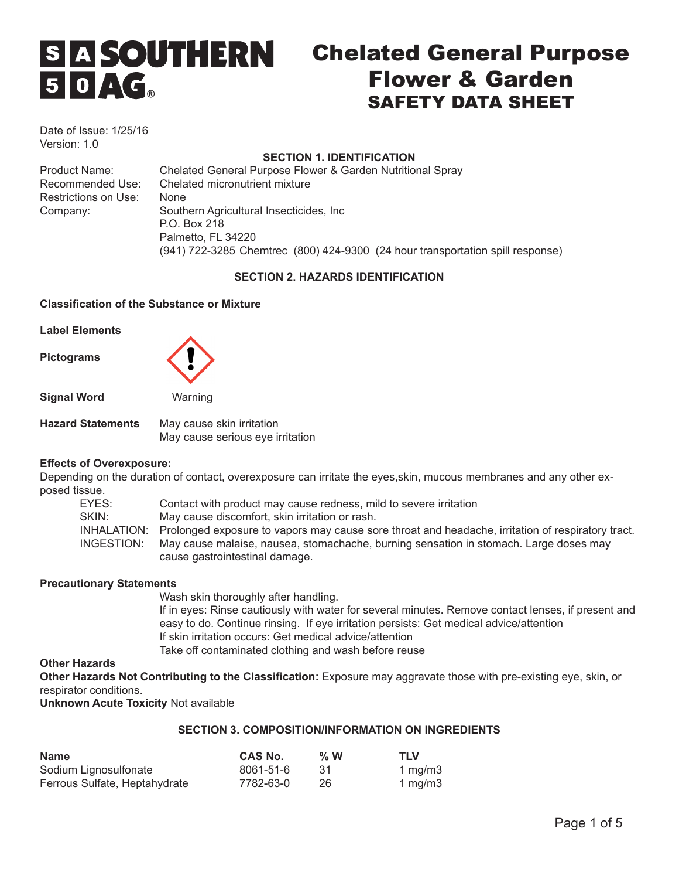# S A **SOUTHERN**  $50AC<sub>a</sub>$

# Chelated General Purpose Flower & Garden SAFETY DATA SHEET

Date of Issue: 1/25/16 Version: 1.0

# **SECTION 1. IDENTIFICATION**

Product Name: Chelated General Purpose Flower & Garden Nutritional Spray Recommended Use: Chelated micronutrient mixture Restrictions on Use: None Company: Southern Agricultural Insecticides, Inc P.O. Box 218 Palmetto, FL 34220 (941) 722-3285 Chemtrec (800) 424-9300 (24 hour transportation spill response)

# **SECTION 2. HAZARDS IDENTIFICATION**

#### **Classification of the Substance or Mixture**

**Label Elements**

**Pictograms** 



**Signal Word** Warning

**Hazard Statements** May cause skin irritation May cause serious eye irritation

# **Effects of Overexposure:**

Depending on the duration of contact, overexposure can irritate the eyes,skin, mucous membranes and any other exposed tissue.

| EYES:      | Contact with product may cause redness, mild to severe irritation                                             |
|------------|---------------------------------------------------------------------------------------------------------------|
| SKIN:      | May cause discomfort, skin irritation or rash.                                                                |
|            | INHALATION: Prolonged exposure to vapors may cause sore throat and headache, irritation of respiratory tract. |
| INGESTION: | May cause malaise, nausea, stomachache, burning sensation in stomach. Large doses may                         |
|            | cause gastrointestinal damage.                                                                                |

#### **Precautionary Statements**

Wash skin thoroughly after handling. If in eyes: Rinse cautiously with water for several minutes. Remove contact lenses, if present and easy to do. Continue rinsing. If eye irritation persists: Get medical advice/attention If skin irritation occurs: Get medical advice/attention Take off contaminated clothing and wash before reuse

# **Other Hazards**

**Other Hazards Not Contributing to the Classification:** Exposure may aggravate those with pre-existing eye, skin, or respirator conditions.

**Unknown Acute Toxicity** Not available

# **SECTION 3. COMPOSITION/INFORMATION ON INGREDIENTS**

| <b>Name</b>                   | CAS No.   | $\%$ W | <b>TLV</b> |
|-------------------------------|-----------|--------|------------|
| Sodium Lignosulfonate         | 8061-51-6 | -31    | 1 $mg/m3$  |
| Ferrous Sulfate, Heptahydrate | 7782-63-0 | 26     | 1 $mq/m3$  |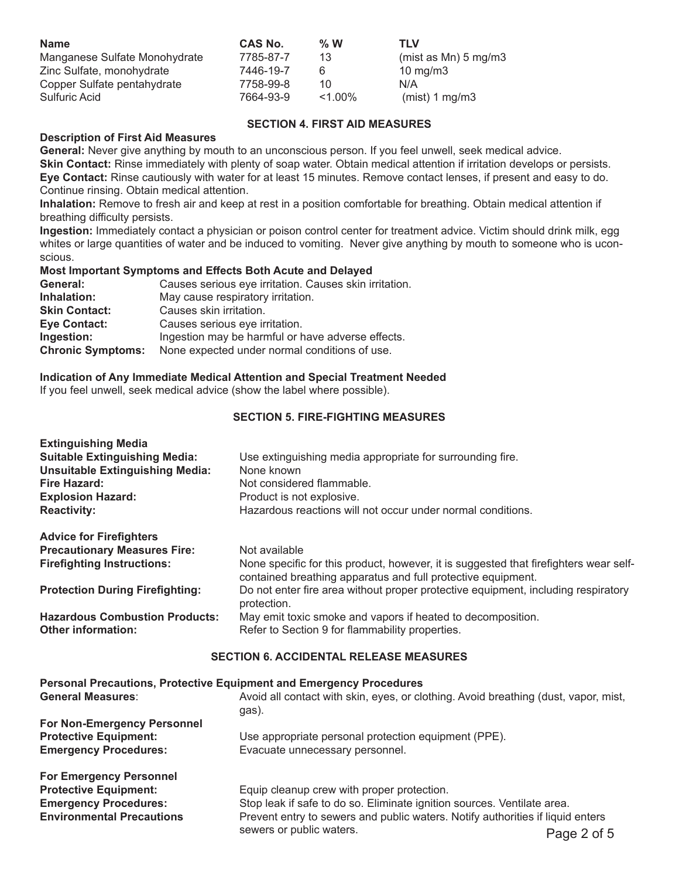| <b>Name</b>                   | <b>CAS No.</b> | $\%$ W   | TLV                     |
|-------------------------------|----------------|----------|-------------------------|
| Manganese Sulfate Monohydrate | 7785-87-7      | 13       | (mist as $Mn$ ) 5 mg/m3 |
| Zinc Sulfate, monohydrate     | 7446-19-7      | 6        | 10 mg/m $3$             |
| Copper Sulfate pentahydrate   | 7758-99-8      | 10       | N/A                     |
| Sulfuric Acid                 | 7664-93-9      | $1.00\%$ | $(mist)$ 1 mg/m3        |

# **SECTION 4. FIRST AID MEASURES**

#### **Description of First Aid Measures**

**General:** Never give anything by mouth to an unconscious person. If you feel unwell, seek medical advice. **Skin Contact:** Rinse immediately with plenty of soap water. Obtain medical attention if irritation develops or persists. **Eye Contact:** Rinse cautiously with water for at least 15 minutes. Remove contact lenses, if present and easy to do. Continue rinsing. Obtain medical attention.

**Inhalation:** Remove to fresh air and keep at rest in a position comfortable for breathing. Obtain medical attention if breathing difficulty persists.

**Ingestion:** Immediately contact a physician or poison control center for treatment advice. Victim should drink milk, egg whites or large quantities of water and be induced to vomiting. Never give anything by mouth to someone who is uconscious.

#### **Most Important Symptoms and Effects Both Acute and Delayed**

| General:                 | Causes serious eye irritation. Causes skin irritation. |
|--------------------------|--------------------------------------------------------|
| Inhalation:              | May cause respiratory irritation.                      |
| <b>Skin Contact:</b>     | Causes skin irritation.                                |
| <b>Eye Contact:</b>      | Causes serious eye irritation.                         |
| Ingestion:               | Ingestion may be harmful or have adverse effects.      |
| <b>Chronic Symptoms:</b> | None expected under normal conditions of use.          |

#### **Indication of Any Immediate Medical Attention and Special Treatment Needed**

If you feel unwell, seek medical advice (show the label where possible).

### **SECTION 5. FIRE-FIGHTING MEASURES**

| <b>Extinguishing Media</b><br><b>Suitable Extinguishing Media:</b><br><b>Unsuitable Extinguishing Media:</b><br>Fire Hazard:<br><b>Explosion Hazard:</b><br><b>Reactivity:</b> | Use extinguishing media appropriate for surrounding fire.<br>None known<br>Not considered flammable.<br>Product is not explosive.<br>Hazardous reactions will not occur under normal conditions. |  |  |
|--------------------------------------------------------------------------------------------------------------------------------------------------------------------------------|--------------------------------------------------------------------------------------------------------------------------------------------------------------------------------------------------|--|--|
| <b>Advice for Firefighters</b><br><b>Precautionary Measures Fire:</b><br><b>Firefighting Instructions:</b>                                                                     | Not available<br>None specific for this product, however, it is suggested that firefighters wear self-<br>contained breathing apparatus and full protective equipment.                           |  |  |
| <b>Protection During Firefighting:</b>                                                                                                                                         | Do not enter fire area without proper protective equipment, including respiratory<br>protection.                                                                                                 |  |  |
| <b>Hazardous Combustion Products:</b><br><b>Other information:</b>                                                                                                             | May emit toxic smoke and vapors if heated to decomposition.<br>Refer to Section 9 for flammability properties.                                                                                   |  |  |
| <b>SECTION 6. ACCIDENTAL RELEASE MEASURES</b>                                                                                                                                  |                                                                                                                                                                                                  |  |  |
| <b>Personal Precautions, Protective Equipment and Emergency Procedures</b><br><b>General Measures:</b>                                                                         | Avoid all contact with skin, eyes, or clothing. Avoid breathing (dust, vapor, mist,                                                                                                              |  |  |
| For Non-Emergency Personnel                                                                                                                                                    | gas).                                                                                                                                                                                            |  |  |
| <b>Protective Equipment:</b><br><b>Emergency Procedures:</b>                                                                                                                   | Use appropriate personal protection equipment (PPE).<br>Evacuate unnecessary personnel.                                                                                                          |  |  |
| <b>For Emergency Personnel</b><br><b>Protective Equipment:</b><br><b>Emergency Procedures:</b>                                                                                 | Equip cleanup crew with proper protection.<br>Stop leak if safe to do so. Eliminate ignition sources. Ventilate area                                                                             |  |  |

**Emergency Procedures:** Stop leak if safe to do so. Eliminate ignition sources. Ventilate area. **Environmental Precautions** Prevent entry to sewers and public waters. Notify authorities if liquid enters sewers or public waters. The series of 5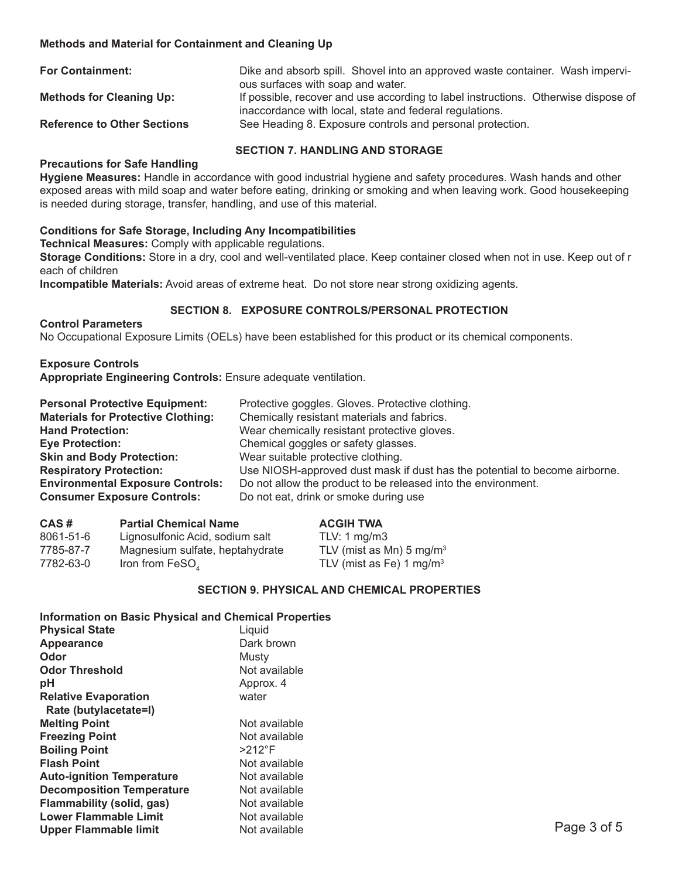### **Methods and Material for Containment and Cleaning Up**

| <b>For Containment:</b>            | Dike and absorb spill. Shovel into an approved waste container. Wash impervi-                                                                 |
|------------------------------------|-----------------------------------------------------------------------------------------------------------------------------------------------|
|                                    | ous surfaces with soap and water.                                                                                                             |
| <b>Methods for Cleaning Up:</b>    | If possible, recover and use according to label instructions. Otherwise dispose of<br>inaccordance with local, state and federal regulations. |
| <b>Reference to Other Sections</b> | See Heading 8. Exposure controls and personal protection.                                                                                     |
|                                    |                                                                                                                                               |

#### **SECTION 7. HANDLING AND STORAGE**

#### **Precautions for Safe Handling**

**Hygiene Measures:** Handle in accordance with good industrial hygiene and safety procedures. Wash hands and other exposed areas with mild soap and water before eating, drinking or smoking and when leaving work. Good housekeeping is needed during storage, transfer, handling, and use of this material.

#### **Conditions for Safe Storage, Including Any Incompatibilities**

**Technical Measures:** Comply with applicable regulations.

**Storage Conditions:** Store in a dry, cool and well-ventilated place. Keep container closed when not in use. Keep out of r each of children

**Incompatible Materials:** Avoid areas of extreme heat. Do not store near strong oxidizing agents.

#### **SECTION 8. EXPOSURE CONTROLS/PERSONAL PROTECTION**

**Control Parameters**  No Occupational Exposure Limits (OELs) have been established for this product or its chemical components.

**Exposure Controls Appropriate Engineering Controls:** Ensure adequate ventilation.

| <b>Personal Protective Equipment:</b>     | Protective goggles. Gloves. Protective clothing.                           |
|-------------------------------------------|----------------------------------------------------------------------------|
| <b>Materials for Protective Clothing:</b> | Chemically resistant materials and fabrics.                                |
| <b>Hand Protection:</b>                   | Wear chemically resistant protective gloves.                               |
| <b>Eye Protection:</b>                    | Chemical goggles or safety glasses.                                        |
| <b>Skin and Body Protection:</b>          | Wear suitable protective clothing.                                         |
| <b>Respiratory Protection:</b>            | Use NIOSH-approved dust mask if dust has the potential to become airborne. |
| <b>Environmental Exposure Controls:</b>   | Do not allow the product to be released into the environment.              |
| <b>Consumer Exposure Controls:</b>        | Do not eat, drink or smoke during use                                      |

| CAS#      | <b>Partial Chemical Name</b>    | <b>ACGIH TWA</b>                     |
|-----------|---------------------------------|--------------------------------------|
| 8061-51-6 | Lignosulfonic Acid, sodium salt | TLV: 1 ma/m3                         |
| 7785-87-7 | Magnesium sulfate, heptahydrate | TLV (mist as Mn) $5 \text{ mg/m}^3$  |
| 7782-63-0 | Iron from FeSO,                 | TLV (mist as Fe) 1 mg/m <sup>3</sup> |

#### **SECTION 9. PHYSICAL AND CHEMICAL PROPERTIES**

**Information on Basic Physical and Chemical Properties Physical State** 

| Dark brown     |             |
|----------------|-------------|
| Musty          |             |
| Not available  |             |
| Approx. 4      |             |
| water          |             |
|                |             |
| Not available  |             |
| Not available  |             |
| $>212^\circ F$ |             |
| Not available  |             |
| Not available  |             |
| Not available  |             |
| Not available  |             |
| Not available  |             |
| Not available  | Page 3 of 5 |
|                |             |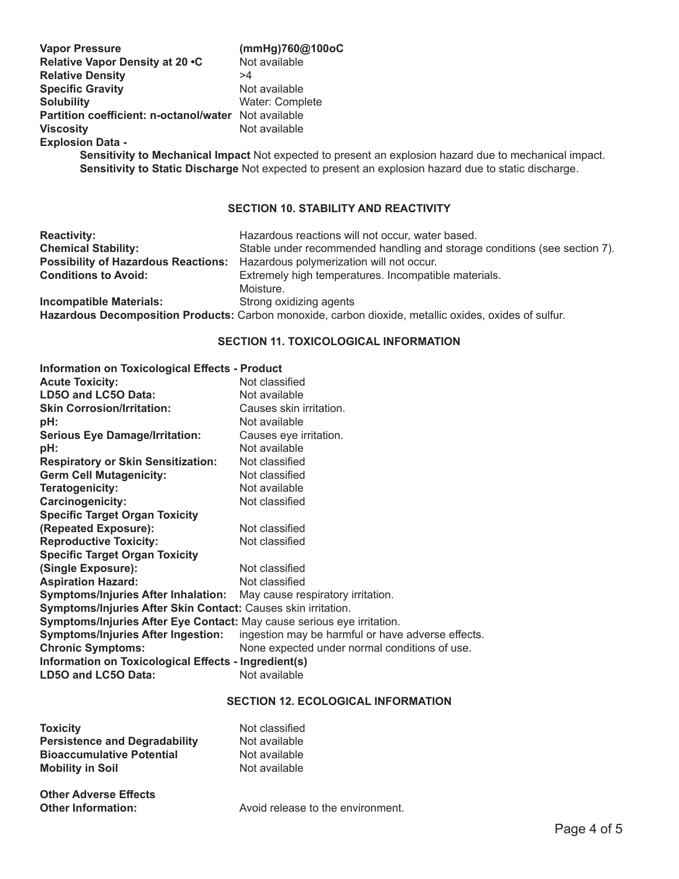| <b>Vapor Pressure</b>                                | (mmHg)760@100oC |
|------------------------------------------------------|-----------------|
| Relative Vapor Density at 20 .C                      | Not available   |
| <b>Relative Density</b>                              | >4              |
| <b>Specific Gravity</b>                              | Not available   |
| <b>Solubility</b>                                    | Water: Complete |
| Partition coefficient: n-octanol/water Not available |                 |
| <b>Viscosity</b>                                     | Not available   |
| <b>Explosion Data -</b>                              |                 |

**Sensitivity to Mechanical Impact** Not expected to present an explosion hazard due to mechanical impact. **Sensitivity to Static Discharge** Not expected to present an explosion hazard due to static discharge.

# **SECTION 10. STABILITY AND REACTIVITY**

| <b>Reactivity:</b>             | Hazardous reactions will not occur, water based.                                                      |
|--------------------------------|-------------------------------------------------------------------------------------------------------|
| <b>Chemical Stability:</b>     | Stable under recommended handling and storage conditions (see section 7).                             |
|                                | Possibility of Hazardous Reactions: Hazardous polymerization will not occur.                          |
| <b>Conditions to Avoid:</b>    | Extremely high temperatures. Incompatible materials.                                                  |
|                                | Moisture.                                                                                             |
| <b>Incompatible Materials:</b> | Strong oxidizing agents                                                                               |
|                                | Hazardous Decomposition Products: Carbon monoxide, carbon dioxide, metallic oxides, oxides of sulfur. |

# **SECTION 11. TOXICOLOGICAL INFORMATION**

| <b>Information on Toxicological Effects - Product</b>                        |                                                   |
|------------------------------------------------------------------------------|---------------------------------------------------|
| <b>Acute Toxicity:</b>                                                       | Not classified                                    |
| LD50 and LC50 Data:                                                          | Not available                                     |
| <b>Skin Corrosion/Irritation:</b>                                            | Causes skin irritation.                           |
| pH:                                                                          | Not available                                     |
| <b>Serious Eye Damage/Irritation:</b>                                        | Causes eye irritation.                            |
| pH:                                                                          | Not available                                     |
| <b>Respiratory or Skin Sensitization:</b>                                    | Not classified                                    |
| <b>Germ Cell Mutagenicity:</b>                                               | Not classified                                    |
| Teratogenicity:                                                              | Not available                                     |
| Carcinogenicity:                                                             | Not classified                                    |
| <b>Specific Target Organ Toxicity</b>                                        |                                                   |
| (Repeated Exposure):                                                         | Not classified                                    |
| <b>Reproductive Toxicity:</b>                                                | Not classified                                    |
| <b>Specific Target Organ Toxicity</b>                                        |                                                   |
| (Single Exposure):                                                           | Not classified                                    |
| <b>Aspiration Hazard:</b>                                                    | Not classified                                    |
| <b>Symptoms/Injuries After Inhalation:</b> May cause respiratory irritation. |                                                   |
| Symptoms/Injuries After Skin Contact: Causes skin irritation.                |                                                   |
| Symptoms/Injuries After Eye Contact: May cause serious eye irritation.       |                                                   |
| <b>Symptoms/Injuries After Ingestion:</b>                                    | ingestion may be harmful or have adverse effects. |
| <b>Chronic Symptoms:</b>                                                     | None expected under normal conditions of use.     |
| Information on Toxicological Effects - Ingredient(s)                         |                                                   |
| LD50 and LC50 Data:                                                          | Not available                                     |

### **SECTION 12. ECOLOGICAL INFORMATION**

| <b>Toxicity</b>                      | Not classified |
|--------------------------------------|----------------|
| <b>Persistence and Degradability</b> | Not available  |
| <b>Bioaccumulative Potential</b>     | Not available  |
| <b>Mobility in Soil</b>              | Not available  |
| Other Advence Fileste                |                |

| <b>Other Adverse Effects</b> |                                   |
|------------------------------|-----------------------------------|
| <b>Other Information:</b>    | Avoid release to the environment. |